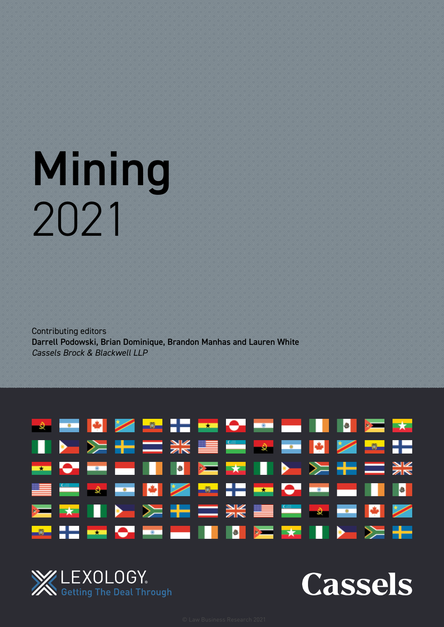# Mining 2021

Contributing editors Darrell Podowski, Brian Dominique, Brandon Manhas and Lauren White *Cassels Brock & Blackwell LLP*





**Cassels**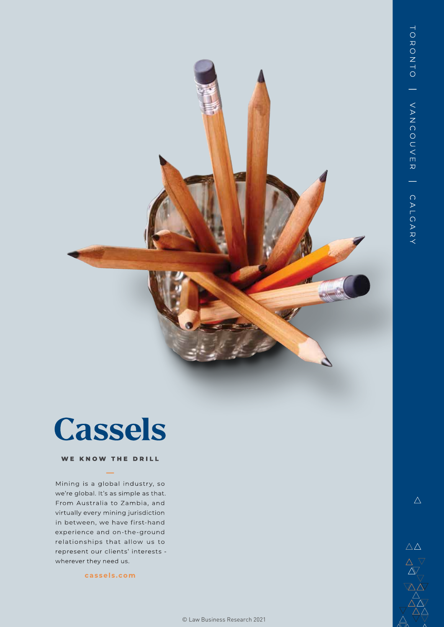### Cassels

#### WE KNOW THE DRILL

Mining is a global industry, so we're global. It's as simple as that. From Australia to Zambia, and virtually every mining jurisdiction in between, we have first-hand experience and on-the-ground relationships that allow us to represent our clients' interests wherever they need us.

[cassels.com](http://cassels.com)

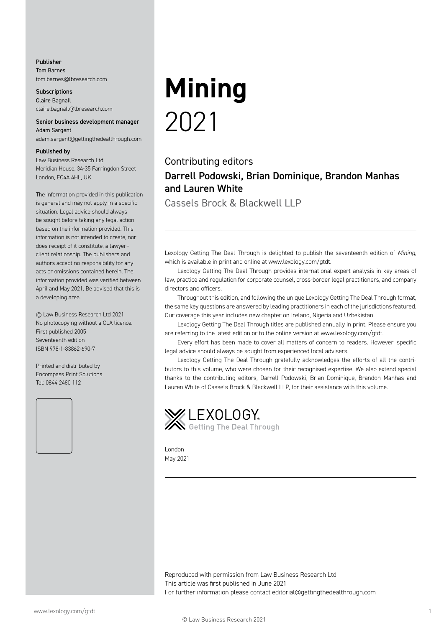#### Publisher

Tom Barnes [tom.barnes@lbresearch.com](mailto:tom.barnes@lbresearch.com)

**Subscriptions** Claire Bagnall [claire.bagnall@lbresearch.com](mailto:claire.bagnall@lbresearch.com)

#### Senior business development manager Adam Sargent

[adam.sargent@gettingthedealthrough.com](mailto:adam.sargent@gettingthedealthrough.com)

#### Published by

Law Business Research Ltd Meridian House, 34-35 Farringdon Street London, EC4A 4HL, UK

The information provided in this publication is general and may not apply in a specific situation. Legal advice should always be sought before taking any legal action based on the information provided. This information is not intended to create, nor does receipt of it constitute, a lawyer– client relationship. The publishers and authors accept no responsibility for any acts or omissions contained herein. The information provided was verified between April and May 2021. Be advised that this is a developing area.

© Law Business Research Ltd 2021 No photocopying without a CLA licence. First published 2005 Seventeenth edition ISBN 978-1-83862-690-7

Printed and distributed by Encompass Print Solutions Tel: 0844 2480 112



## **Mining** 2021

#### Contributing editors Darrell Podowski, Brian Dominique, Brandon Manhas and Lauren White

Cassels Brock & Blackwell LLP

Lexology Getting The Deal Through is delighted to publish the seventeenth edition of *Mining*, which is available in print and online at [www.lexology.com/gtdt.](http://www.lexology.com/gtdt)

Lexology Getting The Deal Through provides international expert analysis in key areas of law, practice and regulation for corporate counsel, cross-border legal practitioners, and company directors and officers.

Throughout this edition, and following the unique Lexology Getting The Deal Through format, the same key questions are answered by leading practitioners in each of the jurisdictions featured. Our coverage this year includes new chapter on Ireland, Nigeria and Uzbekistan.

Lexology Getting The Deal Through titles are published annually in print. Please ensure you are referring to the latest edition or to the online version at [www.lexology.com/gtdt.](http://www.lexology.com/gtdt)

Every effort has been made to cover all matters of concern to readers. However, specific legal advice should always be sought from experienced local advisers.

Lexology Getting The Deal Through gratefully acknowledges the efforts of all the contributors to this volume, who were chosen for their recognised expertise. We also extend special thanks to the contributing editors, Darrell Podowski, Brian Dominique, Brandon Manhas and Lauren White of Cassels Brock & Blackwell LLP, for their assistance with this volume.



London May 2021

Reproduced with permission from Law Business Research Ltd This article was first published in June 2021 For further information please contact [editorial@gettingthedealthrough.com](mailto:editorial@gettingthedealthrough.com)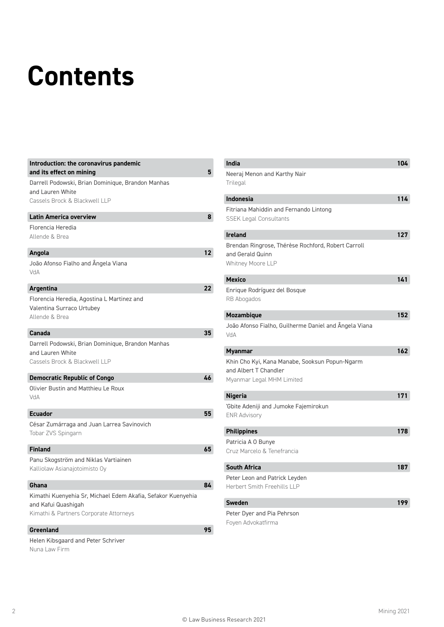### **Contents**

| Introduction: the coronavirus pandemic<br>and its effect on mining                                                            | 5               |
|-------------------------------------------------------------------------------------------------------------------------------|-----------------|
| Darrell Podowski, Brian Dominique, Brandon Manhas<br>and Lauren White<br>Cassels Brock & Blackwell LLP                        |                 |
| <b>Latin America overview</b>                                                                                                 | 8               |
| Florencia Heredia<br>Allende & Brea                                                                                           |                 |
| Angola                                                                                                                        | 12 <sup>2</sup> |
| João Afonso Fialho and Ângela Viana<br><b>VdA</b>                                                                             |                 |
| <b>Argentina</b>                                                                                                              | 22              |
| Florencia Heredia, Agostina L Martinez and<br>Valentina Surraco Urtubey<br>Allende & Brea                                     |                 |
| Canada                                                                                                                        | 35              |
| Darrell Podowski, Brian Dominique, Brandon Manhas<br>and Lauren White<br>Cassels Brock & Blackwell LLP                        |                 |
| <b>Democratic Republic of Congo</b>                                                                                           | 46              |
| Olivier Bustin and Matthieu Le Roux<br>AhV                                                                                    |                 |
| <b>Ecuador</b>                                                                                                                | 55              |
| César Zumárraga and Juan Larrea Savinovich<br>Tobar ZVS Spingarn                                                              |                 |
| <b>Finland</b>                                                                                                                | 65              |
| Panu Skogström and Niklas Vartiainen<br>Kalliolaw Asianajotoimisto Oy                                                         |                 |
| Ghana                                                                                                                         | 84              |
| Kimathi Kuenyehia Sr, Michael Edem Akafia, Sefakor Kuenyehia<br>and Kafui Quashigah<br>Kimathi & Partners Corporate Attorneys |                 |
| <b>Greenland</b>                                                                                                              | 95              |
| Holan Kibcassed and Dotor Schriver                                                                                            |                 |

Helen Kibsgaard and Peter Schriver Nuna Law Firm

| India                                                                                                | 104              |
|------------------------------------------------------------------------------------------------------|------------------|
| Neeraj Menon and Karthy Nair<br>Trilegal                                                             |                  |
| <b>Indonesia</b>                                                                                     | 114              |
| Fitriana Mahiddin and Fernando Lintong<br><b>SSEK Legal Consultants</b>                              |                  |
| <b>Ireland</b>                                                                                       | 127              |
| Brendan Ringrose, Thérèse Rochford, Robert Carroll<br>and Gerald Quinn<br>Whitney Moore LLP          |                  |
| <b>Mexico</b>                                                                                        | 141              |
| Enrique Rodríguez del Bosque<br>RB Abogados                                                          |                  |
| <b>Mozambique</b>                                                                                    | 152              |
| João Afonso Fialho, Guilherme Daniel and Ângela Viana<br>VdA                                         |                  |
| Myanmar                                                                                              | 162 <sub>2</sub> |
| Khin Cho Kyi, Kana Manabe, Sooksun Popun-Ngarm<br>and Albert T Chandler<br>Myanmar Legal MHM Limited |                  |
| <b>Nigeria</b>                                                                                       | 171              |
| 'Gbite Adeniji and Jumoke Fajemirokun<br><b>ENR Advisory</b>                                         |                  |
| <b>Philippines</b>                                                                                   | 178              |
| Patricia A 0 Bunye<br>Cruz Marcelo & Tenefrancia                                                     |                  |
| <b>South Africa</b>                                                                                  | 187              |
| Peter Leon and Patrick Leyden<br><b>Herbert Smith Freehills LLP</b>                                  |                  |
| <b>Sweden</b>                                                                                        | 199              |
| Peter Dyer and Pia Pehrson<br>Foyen Advokatfirma                                                     |                  |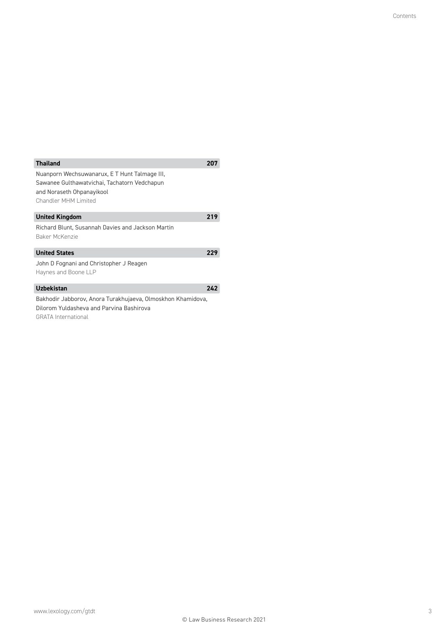| <b>Thailand</b>                                                                                                                                    | 207 |
|----------------------------------------------------------------------------------------------------------------------------------------------------|-----|
| Nuanporn Wechsuwanarux, E T Hunt Talmage III,<br>Sawanee Gulthawatvichai, Tachatorn Vedchapun<br>and Noraseth Ohpanayikool<br>Chandler MHM Limited |     |
| <b>United Kingdom</b>                                                                                                                              | 219 |
| Richard Blunt, Susannah Davies and Jackson Martin<br>Baker McKenzie                                                                                |     |
| <b>United States</b>                                                                                                                               | 229 |
| John D Fognani and Christopher J Reagen<br>Haynes and Boone LLP                                                                                    |     |
| <b>Uzbekistan</b>                                                                                                                                  | 242 |
| Bakhodir Jabborov, Anora Turakhujaeva, Olmoskhon Khamidova,<br>Dilorom Yuldasheva and Parvina Bashirova<br><b>GRATA</b> International              |     |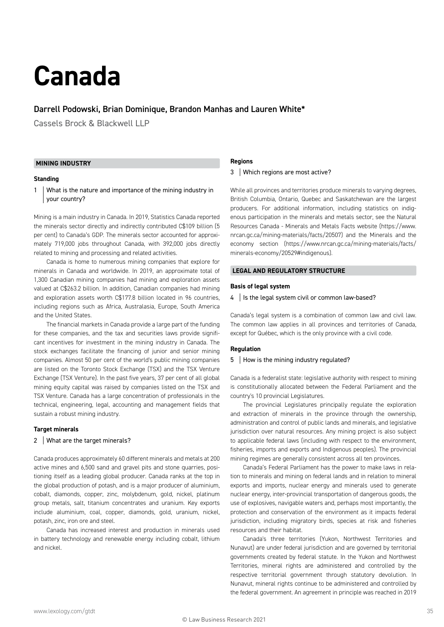### <span id="page-5-0"></span>**Canada**

#### Darrell Podowski, Brian Dominique, Brandon Manhas and Lauren Whit[e\\*](#page-15-0)

Cassels Brock & Blackwell LLP

#### **MINING INDUSTRY**

#### **Standing**

1 What is the nature and importance of the mining industry in your country?

Mining is a main industry in Canada. In 2019, Statistics Canada reported the minerals sector directly and indirectly contributed C\$109 billion (5 per cent) to Canada's GDP. The minerals sector accounted for approximately 719,000 jobs throughout Canada, with 392,000 jobs directly related to mining and processing and related activities.

Canada is home to numerous mining companies that explore for minerals in Canada and worldwide. In 2019, an approximate total of 1,300 Canadian mining companies had mining and exploration assets valued at C\$263.2 billion. In addition, Canadian companies had mining and exploration assets worth C\$177.8 billion located in 96 countries, including regions such as Africa, Australasia, Europe, South America and the United States.

The financial markets in Canada provide a large part of the funding for these companies, and the tax and securities laws provide significant incentives for investment in the mining industry in Canada. The stock exchanges facilitate the financing of junior and senior mining companies. Almost 50 per cent of the world's public mining companies are listed on the Toronto Stock Exchange (TSX) and the TSX Venture Exchange (TSX Venture). In the past five years, 37 per cent of all global mining equity capital was raised by companies listed on the TSX and TSX Venture. Canada has a large concentration of professionals in the technical, engineering, legal, accounting and management fields that sustain a robust mining industry.

#### **Target minerals**

#### 2 | What are the target minerals?

Canada produces approximately 60 different minerals and metals at 200 active mines and 6,500 sand and gravel pits and stone quarries, positioning itself as a leading global producer. Canada ranks at the top in the global production of potash, and is a major producer of aluminium, cobalt, diamonds, copper, zinc, molybdenum, gold, nickel, platinum group metals, salt, titanium concentrates and uranium. Key exports include aluminium, coal, copper, diamonds, gold, uranium, nickel, potash, zinc, iron ore and steel.

Canada has increased interest and production in minerals used in battery technology and renewable energy including cobalt, lithium and nickel.

#### **Regions**

#### 3 Which regions are most active?

While all provinces and territories produce minerals to varying degrees, British Columbia, Ontario, Quebec and Saskatchewan are the largest producers. For additional information, including statistics on indigenous participation in the minerals and metals sector, see the Natural [Resources Canada - Minerals and Metals Facts website \(https://www.](https://www.nrcan.gc.ca/mining-materials/facts/20507) nrcan.gc.ca/mining-materials/facts/20507) and the Minerals and the [economy section \(https://www.nrcan.gc.ca/mining-materials/facts/](https://www.nrcan.gc.ca/mining-materials/facts/minerals-economy/20529#indigenous) minerals-economy/20529#indigenous).

#### **LEGAL AND REGULATORY STRUCTURE**

#### **Basis of legal system**

#### 4 | Is the legal system civil or common law-based?

Canada's legal system is a combination of common law and civil law. The common law applies in all provinces and territories of Canada, except for Québec, which is the only province with a civil code.

#### **Regulation**

#### 5 | How is the mining industry regulated?

Canada is a federalist state: legislative authority with respect to mining is constitutionally allocated between the Federal Parliament and the country's 10 provincial Legislatures.

The provincial Legislatures principally regulate the exploration and extraction of minerals in the province through the ownership, administration and control of public lands and minerals, and legislative jurisdiction over natural resources. Any mining project is also subject to applicable federal laws (including with respect to the environment, fisheries, imports and exports and Indigenous peoples). The provincial mining regimes are generally consistent across all ten provinces.

Canada's Federal Parliament has the power to make laws in relation to minerals and mining on federal lands and in relation to mineral exports and imports, nuclear energy and minerals used to generate nuclear energy, inter-provincial transportation of dangerous goods, the use of explosives, navigable waters and, perhaps most importantly, the protection and conservation of the environment as it impacts federal jurisdiction, including migratory birds, species at risk and fisheries resources and their habitat.

Canada's three territories (Yukon, Northwest Territories and Nunavut) are under federal jurisdiction and are governed by territorial governments created by federal statute. In the Yukon and Northwest Territories, mineral rights are administered and controlled by the respective territorial government through statutory devolution. In Nunavut, mineral rights continue to be administered and controlled by the federal government. An agreement in principle was reached in 2019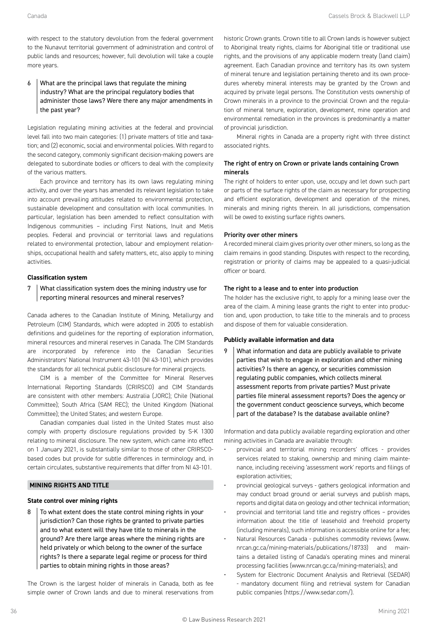with respect to the statutory devolution from the federal government to the Nunavut territorial government of administration and control of public lands and resources; however, full devolution will take a couple more years.

#### 6 What are the principal laws that regulate the mining industry? What are the principal regulatory bodies that administer those laws? Were there any major amendments in the past year?

Legislation regulating mining activities at the federal and provincial level fall into two main categories: (1) private matters of title and taxation; and (2) economic, social and environmental policies. With regard to the second category, commonly significant decision-making powers are delegated to subordinate bodies or officers to deal with the complexity of the various matters.

Each province and territory has its own laws regulating mining activity, and over the years has amended its relevant legislation to take into account prevailing attitudes related to environmental protection, sustainable development and consultation with local communities. In particular, legislation has been amended to reflect consultation with Indigenous communities – including First Nations, Inuit and Metis peoples. Federal and provincial or territorial laws and regulations related to environmental protection, labour and employment relationships, occupational health and safety matters, etc, also apply to mining activities.

#### **Classification system**

#### What classification system does the mining industry use for reporting mineral resources and mineral reserves?

Canada adheres to the Canadian Institute of Mining, Metallurgy and Petroleum (CIM) Standards, which were adopted in 2005 to establish definitions and guidelines for the reporting of exploration information, mineral resources and mineral reserves in Canada. The CIM Standards are incorporated by reference into the Canadian Securities Administrators' National Instrument 43-101 (NI 43-101), which provides the standards for all technical public disclosure for mineral projects.

CIM is a member of the Committee for Mineral Reserves International Reporting Standards (CRIRSCO) and CIM Standards are consistent with other members: Australia (JORC); Chile (National Committee); South Africa (SAM REC); the United Kingdom (National Committee); the United States; and western Europe.

Canadian companies dual listed in the United States must also comply with property disclosure regulations provided by S-K 1300 relating to mineral disclosure. The new system, which came into effect on 1 January 2021, is substantially similar to those of other CRIRSCObased codes but provide for subtle differences in terminology and, in certain circulates, substantive requirements that differ from NI 43-101.

#### **MINING RIGHTS AND TITLE**

#### **State control over mining rights**

8 To what extent does the state control mining rights in your jurisdiction? Can those rights be granted to private parties and to what extent will they have title to minerals in the ground? Are there large areas where the mining rights are held privately or which belong to the owner of the surface rights? Is there a separate legal regime or process for third parties to obtain mining rights in those areas?

The Crown is the largest holder of minerals in Canada, both as fee simple owner of Crown lands and due to mineral reservations from historic Crown grants. Crown title to all Crown lands is however subject to Aboriginal treaty rights, claims for Aboriginal title or traditional use rights, and the provisions of any applicable modern treaty (land claim) agreement. Each Canadian province and territory has its own system of mineral tenure and legislation pertaining thereto and its own procedures whereby mineral interests may be granted by the Crown and acquired by private legal persons. The Constitution vests ownership of Crown minerals in a province to the provincial Crown and the regulation of mineral tenure, exploration, development, mine operation and environmental remediation in the provinces is predominantly a matter of provincial jurisdiction.

Mineral rights in Canada are a property right with three distinct associated rights.

#### The right of entry on Crown or private lands containing Crown minerals

The right of holders to enter upon, use, occupy and let down such part or parts of the surface rights of the claim as necessary for prospecting and efficient exploration, development and operation of the mines, minerals and mining rights therein. In all jurisdictions, compensation will be owed to existing surface rights owners.

#### Priority over other miners

A recorded mineral claim gives priority over other miners, so long as the claim remains in good standing. Disputes with respect to the recording, registration or priority of claims may be appealed to a quasi-judicial officer or board.

#### The right to a lease and to enter into production

The holder has the exclusive right, to apply for a mining lease over the area of the claim. A mining lease grants the right to enter into production and, upon production, to take title to the minerals and to process and dispose of them for valuable consideration.

#### **Publicly available information and data**

9 What information and data are publicly available to private parties that wish to engage in exploration and other mining activities? Is there an agency, or securities commission regulating public companies, which collects mineral assessment reports from private parties? Must private parties file mineral assessment reports? Does the agency or the government conduct geoscience surveys, which become part of the database? Is the database available online?

Information and data publicly available regarding exploration and other mining activities in Canada are available through:

- provincial and territorial mining recorders' offices provides services related to staking, ownership and mining claim maintenance, including receiving 'assessment work' reports and filings of exploration activities;
- provincial geological surveys gathers geological information and may conduct broad ground or aerial surveys and publish maps, reports and digital data on geology and other technical information;
- provincial and territorial land title and registry offices provides information about the title of leasehold and freehold property (including minerals), such information is accessible online for a fee;
- Natural Resources Canada publishes commodity reviews (www. [nrcan.gc.ca/mining-materials/publications/18733\) and main](http://www.nrcan.gc.ca/mining-materials/publications/18733)tains a detailed listing of Canada's operating mines and mineral processing facilities [\(www.nrcan.gc.ca/mining-materials](http://www.nrcan.gc.ca/mining-materials)); and
- System for Electronic Document Analysis and Retrieval (SEDAR) - mandatory document filing and retrieval system for Canadian public companies [\(https://www.sedar.com/](https://www.sedar.com/)).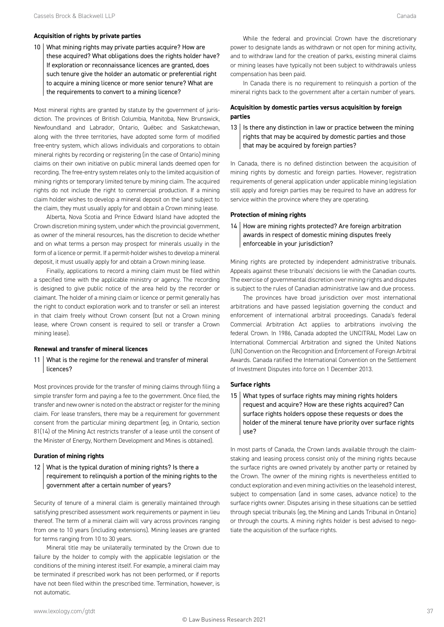#### **Acquisition of rights by private parties**

10 What mining rights may private parties acquire? How are these acquired? What obligations does the rights holder have? If exploration or reconnaissance licences are granted, does such tenure give the holder an automatic or preferential right to acquire a mining licence or more senior tenure? What are the requirements to convert to a mining licence?

Most mineral rights are granted by statute by the government of jurisdiction. The provinces of British Columbia, Manitoba, New Brunswick, Newfoundland and Labrador, Ontario, Québec and Saskatchewan, along with the three territories, have adopted some form of modified free-entry system, which allows individuals and corporations to obtain mineral rights by recording or registering (in the case of Ontario) mining claims on their own initiative on public mineral lands deemed open for recording. The free-entry system relates only to the limited acquisition of mining rights or temporary limited tenure by mining claim. The acquired rights do not include the right to commercial production. If a mining claim holder wishes to develop a mineral deposit on the land subject to the claim, they must usually apply for and obtain a Crown mining lease.

Alberta, Nova Scotia and Prince Edward Island have adopted the Crown discretion mining system, under which the provincial government, as owner of the mineral resources, has the discretion to decide whether and on what terms a person may prospect for minerals usually in the form of a licence or permit. If a permit-holder wishes to develop a mineral deposit, it must usually apply for and obtain a Crown mining lease.

Finally, applications to record a mining claim must be filed within a specified time with the applicable ministry or agency. The recording is designed to give public notice of the area held by the recorder or claimant. The holder of a mining claim or licence or permit generally has the right to conduct exploration work and to transfer or sell an interest in that claim freely without Crown consent (but not a Crown mining lease, where Crown consent is required to sell or transfer a Crown mining lease).

#### **Renewal and transfer of mineral licences**

11 What is the regime for the renewal and transfer of mineral licences?

Most provinces provide for the transfer of mining claims through filing a simple transfer form and paying a fee to the government. Once filed, the transfer and new owner is noted on the abstract or register for the mining claim. For lease transfers, there may be a requirement for government consent from the particular mining department (eg, in Ontario, section 81(14) of the Mining Act restricts transfer of a lease until the consent of the Minister of Energy, Northern Development and Mines is obtained).

#### **Duration of mining rights**

12 What is the typical duration of mining rights? Is there a requirement to relinquish a portion of the mining rights to the government after a certain number of years?

Security of tenure of a mineral claim is generally maintained through satisfying prescribed assessment work requirements or payment in lieu thereof. The term of a mineral claim will vary across provinces ranging from one to 10 years (including extensions). Mining leases are granted for terms ranging from 10 to 30 years.

Mineral title may be unilaterally terminated by the Crown due to failure by the holder to comply with the applicable legislation or the conditions of the mining interest itself. For example, a mineral claim may be terminated if prescribed work has not been performed, or if reports have not been filed within the prescribed time. Termination, however, is not automatic.

While the federal and provincial Crown have the discretionary power to designate lands as withdrawn or not open for mining activity, and to withdraw land for the creation of parks, existing mineral claims or mining leases have typically not been subject to withdrawals unless compensation has been paid.

In Canada there is no requirement to relinquish a portion of the mineral rights back to the government after a certain number of years.

#### **Acquisition by domestic parties versus acquisition by foreign parties**

13 | Is there any distinction in law or practice between the mining rights that may be acquired by domestic parties and those that may be acquired by foreign parties?

In Canada, there is no defined distinction between the acquisition of mining rights by domestic and foreign parties. However, registration requirements of general application under applicable mining legislation still apply and foreign parties may be required to have an address for service within the province where they are operating.

#### **Protection of mining rights**

14 How are mining rights protected? Are foreign arbitration awards in respect of domestic mining disputes freely enforceable in your jurisdiction?

Mining rights are protected by independent administrative tribunals. Appeals against these tribunals' decisions lie with the Canadian courts. The exercise of governmental discretion over mining rights and disputes is subject to the rules of Canadian administrative law and due process.

The provinces have broad jurisdiction over most international arbitrations and have passed legislation governing the conduct and enforcement of international arbitral proceedings. Canada's federal Commercial Arbitration Act applies to arbitrations involving the federal Crown. In 1986, Canada adopted the UNCITRAL Model Law on International Commercial Arbitration and signed the United Nations (UN) Convention on the Recognition and Enforcement of Foreign Arbitral Awards. Canada ratified the International Convention on the Settlement of Investment Disputes into force on 1 December 2013.

#### **Surface rights**

15 What types of surface rights may mining rights holders request and acquire? How are these rights acquired? Can surface rights holders oppose these requests or does the holder of the mineral tenure have priority over surface rights use?

In most parts of Canada, the Crown lands available through the claimstaking and leasing process consist only of the mining rights because the surface rights are owned privately by another party or retained by the Crown. The owner of the mining rights is nevertheless entitled to conduct exploration and even mining activities on the leasehold interest, subject to compensation (and in some cases, advance notice) to the surface rights owner. Disputes arising in these situations can be settled through special tribunals (eg, the Mining and Lands Tribunal in Ontario) or through the courts. A mining rights holder is best advised to negotiate the acquisition of the surface rights.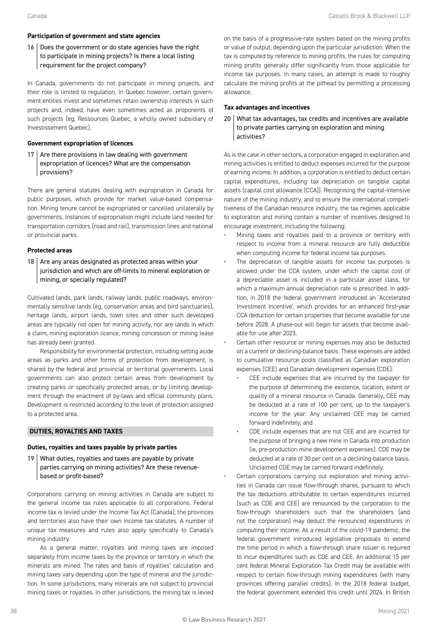#### **Participation of government and state agencies**

#### 16 Does the government or do state agencies have the right to participate in mining projects? Is there a local listing requirement for the project company?

In Canada, governments do not participate in mining projects, and their role is limited to regulation. In Quebec however, certain government entities invest and sometimes retain ownership interests in such projects and, indeed, have even sometimes acted as proponents of such projects (eg, Ressources Quebec, a wholly owned subsidiary of Investissement Quebec).

#### **Government expropriation of licences**

17 Are there provisions in law dealing with government expropriation of licences? What are the compensation provisions?

There are general statutes dealing with expropriation in Canada for public purposes, which provide for market value-based compensation. Mining tenure cannot be expropriated or cancelled unilaterally by governments. Instances of expropriation might include land needed for transportation corridors (road and rail), transmission lines and national or provincial parks.

#### **Protected areas**

18  $\vert$  Are any areas designated as protected areas within your jurisdiction and which are off-limits to mineral exploration or mining, or specially regulated?

Cultivated lands, park lands, railway lands, public roadways, environmentally sensitive lands (eg, conservation areas and bird sanctuaries), heritage lands, airport lands, town sites and other such developed areas are typically not open for mining activity, nor are lands in which a claim, mining exploration licence, mining concession or mining lease has already been granted.

Responsibility for environmental protection, including setting aside areas as parks and other forms of protection from development, is shared by the federal and provincial or territorial governments. Local governments can also protect certain areas from development by creating parks or specifically protected areas, or by limiting development through the enactment of by-laws and official community plans. Development is restricted according to the level of protection assigned to a protected area.

#### **DUTIES, ROYALTIES AND TAXES**

#### **Duties, royalties and taxes payable by private parties**

19 What duties, royalties and taxes are payable by private parties carrying on mining activities? Are these revenuebased or profit-based?

Corporations carrying on mining activities in Canada are subject to the general income tax rules applicable to all corporations. Federal income tax is levied under the Income Tax Act (Canada); the provinces and territories also have their own income tax statutes. A number of unique tax measures and rules also apply specifically to Canada's mining industry.

As a general matter, royalties and mining taxes are imposed separately from income taxes by the province or territory in which the minerals are mined. The rates and basis of royalties' calculation and mining taxes vary depending upon the type of mineral and the jurisdiction. In some jurisdictions, many minerals are not subject to provincial mining taxes or royalties. In other jurisdictions, the mining tax is levied

on the basis of a progressive-rate system based on the mining profits or value of output, depending upon the particular jurisdiction. When the tax is computed by reference to mining profits, the rules for computing mining profits generally differ significantly from those applicable for income tax purposes. In many cases, an attempt is made to roughly calculate the mining profits at the pithead by permitting a processing allowance.

#### **Tax advantages and incentives**

20 What tax advantages, tax credits and incentives are available to private parties carrying on exploration and mining activities?

As is the case in other sectors, a corporation engaged in exploration and mining activities is entitled to deduct expenses incurred for the purpose of earning income. In addition, a corporation is entitled to deduct certain capital expenditures, including tax depreciation on tangible capital assets (capital cost allowance (CCA)). Recognising the capital-intensive nature of the mining industry, and to ensure the international competitiveness of the Canadian resource industry, the tax regimes applicable to exploration and mining contain a number of incentives designed to encourage investment, including the following:

- Mining taxes and royalties paid to a province or territory with respect to income from a mineral resource are fully deductible when computing income for federal income tax purposes.
- The depreciation of tangible assets for income tax purposes is allowed under the CCA system, under which the capital cost of a depreciable asset is included in a particular asset class, for which a maximum annual depreciation rate is prescribed. In addition, in 2018 the federal government introduced an 'Accelerated Investment Incentive', which provides for an enhanced first-year CCA deduction for certain properties that become available for use before 2028. A phase-out will begin for assets that become available for use after 2023.
- Certain other resource or mining expenses may also be deducted on a current or declining-balance basis. These expenses are added to cumulative resource pools classified as Canadian exploration expenses (CEE) and Canadian development expenses (CDE):
	- CEE include expenses that are incurred by the taxpayer for the purpose of determining the existence, location, extent or quality of a mineral resource in Canada. Generally, CEE may be deducted at a rate of 100 per cent, up to the taxpayer's income for the year. Any unclaimed CEE may be carried forward indefinitely; and
	- CDE include expenses that are not CEE and are incurred for the purpose of bringing a new mine in Canada into production (ie, pre-production mine development expenses). CDE may be deducted at a rate of 30 per cent on a declining-balance basis. Unclaimed CDE may be carried forward indefinitely.
- Certain corporations carrying out exploration and mining activities in Canada can issue flow-through shares, pursuant to which the tax deductions attributable to certain expenditures incurred (such as CDE and CEE) are renounced by the corporation to the flow-through shareholders such that the shareholders (and not the corporation) may deduct the renounced expenditures in computing their income. As a result of the covid-19 pandemic, the federal government introduced legislative proposals to extend the time period in which a flow-through share issuer is required to incur expenditures such as CDE and CEE. An additional 15 per cent federal Mineral Exploration Tax Credit may be available with respect to certain flow-through mining expenditures (with many provinces offering parallel credits). In the 2018 federal budget, the federal government extended this credit until 2024. In British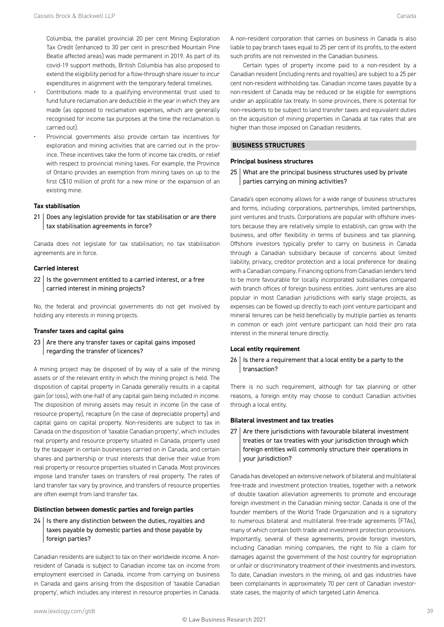Columbia, the parallel provincial 20 per cent Mining Exploration Tax Credit (enhanced to 30 per cent in prescribed Mountain Pine Beatle affected areas) was made permanent in 2019. As part of its covid-19 support methods, British Columbia has also proposed to extend the eligibility period for a flow-through share issuer to incur expenditures in alignment with the temporary federal timelines.

- Contributions made to a qualifying environmental trust used to fund future reclamation are deductible in the year in which they are made (as opposed to reclamation expenses, which are generally recognised for income tax purposes at the time the reclamation is carried out).
- Provincial governments also provide certain tax incentives for exploration and mining activities that are carried out in the province. These incentives take the form of income tax credits, or relief with respect to provincial mining taxes. For example, the Province of Ontario provides an exemption from mining taxes on up to the first C\$10 million of profit for a new mine or the expansion of an existing mine.

#### **Tax stabilisation**

21 Does any legislation provide for tax stabilisation or are there tax stabilisation agreements in force?

Canada does not legislate for tax stabilisation; no tax stabilisation agreements are in force.

#### **Carried interest**

 $22$  | Is the government entitled to a carried interest, or a free carried interest in mining projects?

No, the federal and provincial governments do not get involved by holding any interests in mining projects.

#### **Transfer taxes and capital gains**

 $23$  Are there any transfer taxes or capital gains imposed regarding the transfer of licences?

A mining project may be disposed of by way of a sale of the mining assets or of the relevant entity in which the mining project is held. The disposition of capital property in Canada generally results in a capital gain (or loss), with one-half of any capital gain being included in income. The disposition of mining assets may result in income (in the case of resource property), recapture (in the case of depreciable property) and capital gains on capital property. Non-residents are subject to tax in Canada on the disposition of 'taxable Canadian property', which includes real property and resource property situated in Canada, property used by the taxpayer in certain businesses carried on in Canada, and certain shares and partnership or trust interests that derive their value from real property or resource properties situated in Canada. Most provinces impose land transfer taxes on transfers of real property. The rates of land transfer tax vary by province, and transfers of resource properties are often exempt from land transfer tax.

#### **Distinction between domestic parties and foreign parties**

 $24$  | Is there any distinction between the duties, royalties and taxes payable by domestic parties and those payable by foreign parties?

Canadian residents are subject to tax on their worldwide income. A nonresident of Canada is subject to Canadian income tax on income from employment exercised in Canada, income from carrying on business in Canada and gains arising from the disposition of 'taxable Canadian property', which includes any interest in resource properties in Canada.

A non-resident corporation that carries on business in Canada is also liable to pay branch taxes equal to 25 per cent of its profits, to the extent such profits are not reinvested in the Canadian business.

Certain types of property income paid to a non-resident by a Canadian resident (including rents and royalties) are subject to a 25 per cent non-resident withholding tax. Canadian income taxes payable by a non-resident of Canada may be reduced or be eligible for exemptions under an applicable tax treaty. In some provinces, there is potential for non-residents to be subject to land transfer taxes and equivalent duties on the acquisition of mining properties in Canada at tax rates that are higher than those imposed on Canadian residents.

#### **BUSINESS STRUCTURES**

#### **Principal business structures**

25 What are the principal business structures used by private parties carrying on mining activities?

Canada's open economy allows for a wide range of business structures and forms, including: corporations, partnerships, limited partnerships, joint ventures and trusts. Corporations are popular with offshore investors because they are relatively simple to establish, can grow with the business, and offer flexibility in terms of business and tax planning. Offshore investors typically prefer to carry on business in Canada through a Canadian subsidiary because of concerns about limited liability, privacy, creditor protection and a local preference for dealing with a Canadian company. Financing options from Canadian lenders tend to be more favourable for locally incorporated subsidiaries compared with branch offices of foreign business entities. Joint ventures are also popular in most Canadian jurisdictions with early stage projects, as expenses can be flowed up directly to each joint venture participant and mineral tenures can be held beneficially by multiple parties as tenants in common or each joint venture participant can hold their pro rata interest in the mineral tenure directly.

#### **Local entity requirement**

#### $26$  | Is there a requirement that a local entity be a party to the transaction?

There is no such requirement, although for tax planning or other reasons, a foreign entity may choose to conduct Canadian activities through a local entity.

#### **Bilateral investment and tax treaties**

 $27$  Are there jurisdictions with favourable bilateral investment treaties or tax treaties with your jurisdiction through which foreign entities will commonly structure their operations in your jurisdiction?

Canada has developed an extensive network of bilateral and multilateral free-trade and investment protection treaties, together with a network of double taxation alleviation agreements to promote and encourage foreign investment in the Canadian mining sector. Canada is one of the founder members of the World Trade Organization and is a signatory to numerous bilateral and multilateral free-trade agreements (FTAs), many of which contain both trade and investment protection provisions. Importantly, several of these agreements, provide foreign investors, including Canadian mining companies, the right to file a claim for damages against the government of the host country for expropriation or unfair or discriminatory treatment of their investments and investors. To date, Canadian investors in the mining, oil and gas industries have been complainants in approximately 70 per cent of Canadian investorstate cases, the majority of which targeted Latin America.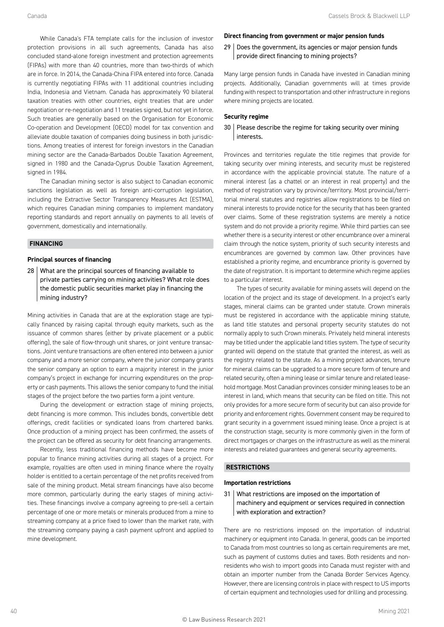While Canada's FTA template calls for the inclusion of investor protection provisions in all such agreements, Canada has also concluded stand-alone foreign investment and protection agreements (FIPAs) with more than 40 countries, more than two-thirds of which are in force. In 2014, the Canada-China FIPA entered into force. Canada is currently negotiating FIPAs with 11 additional countries including India, Indonesia and Vietnam. Canada has approximately 90 bilateral taxation treaties with other countries, eight treaties that are under negotiation or re-negotiation and 11 treaties signed, but not yet in force. Such treaties are generally based on the Organisation for Economic Co-operation and Development (OECD) model for tax convention and alleviate double taxation of companies doing business in both jurisdictions. Among treaties of interest for foreign investors in the Canadian mining sector are the Canada-Barbados Double Taxation Agreement, signed in 1980 and the Canada-Cyprus Double Taxation Agreement, signed in 1984.

The Canadian mining sector is also subject to Canadian economic sanctions legislation as well as foreign anti-corruption legislation, including the Extractive Sector Transparency Measures Act (ESTMA), which requires Canadian mining companies to implement mandatory reporting standards and report annually on payments to all levels of government, domestically and internationally.

#### **FINANCING**

#### **Principal sources of financing**

28 What are the principal sources of financing available to private parties carrying on mining activities? What role does the domestic public securities market play in financing the mining industry?

Mining activities in Canada that are at the exploration stage are typically financed by raising capital through equity markets, such as the issuance of common shares (either by private placement or a public offering), the sale of flow-through unit shares, or joint venture transactions. Joint venture transactions are often entered into between a junior company and a more senior company, where the junior company grants the senior company an option to earn a majority interest in the junior company's project in exchange for incurring expenditures on the property or cash payments. This allows the senior company to fund the initial stages of the project before the two parties form a joint venture.

During the development or extraction stage of mining projects, debt financing is more common. This includes bonds, convertible debt offerings, credit facilities or syndicated loans from chartered banks. Once production of a mining project has been confirmed, the assets of the project can be offered as security for debt financing arrangements.

Recently, less traditional financing methods have become more popular to finance mining activities during all stages of a project. For example, royalties are often used in mining finance where the royalty holder is entitled to a certain percentage of the net profits received from sale of the mining product. Metal stream financings have also become more common, particularly during the early stages of mining activities. These financings involve a company agreeing to pre-sell a certain percentage of one or more metals or minerals produced from a mine to streaming company at a price fixed to lower than the market rate, with the streaming company paying a cash payment upfront and applied to mine development.

#### **Direct financing from government or major pension funds**

29 Does the government, its agencies or major pension funds provide direct financing to mining projects?

Many large pension funds in Canada have invested in Canadian mining projects. Additionally, Canadian governments will at times provide funding with respect to transportation and other infrastructure in regions where mining projects are located.

#### **Security regime**

#### $30$  Please describe the regime for taking security over mining interests.

Provinces and territories regulate the title regimes that provide for taking security over mining interests, and security must be registered in accordance with the applicable provincial statute. The nature of a mineral interest (as a chattel or an interest in real property) and the method of registration vary by province/territory. Most provincial/territorial mineral statutes and registries allow registrations to be filed on mineral interests to provide notice for the security that has been granted over claims. Some of these registration systems are merely a notice system and do not provide a priority regime. While third parties can see whether there is a security interest or other encumbrance over a mineral claim through the notice system, priority of such security interests and encumbrances are governed by common law. Other provinces have established a priority regime, and encumbrance priority is governed by the date of registration. It is important to determine which regime applies to a particular interest.

The types of security available for mining assets will depend on the location of the project and its stage of development. In a project's early stages, mineral claims can be granted under statute. Crown minerals must be registered in accordance with the applicable mining statute, as land title statutes and personal property security statutes do not normally apply to such Crown minerals. Privately held mineral interests may be titled under the applicable land titles system. The type of security granted will depend on the statute that granted the interest, as well as the registry related to the statute. As a mining project advances, tenure for mineral claims can be upgraded to a more secure form of tenure and related security, often a mining lease or similar tenure and related leasehold mortgage. Most Canadian provinces consider mining leases to be an interest in land, which means that security can be filed on title. This not only provides for a more secure form of security but can also provide for priority and enforcement rights. Government consent may be required to grant security in a government issued mining lease. Once a project is at the construction stage, security is more commonly given in the form of direct mortgages or charges on the infrastructure as well as the mineral interests and related guarantees and general security agreements.

#### **RESTRICTIONS**

#### **Importation restrictions**

31 What restrictions are imposed on the importation of machinery and equipment or services required in connection with exploration and extraction?

There are no restrictions imposed on the importation of industrial machinery or equipment into Canada. In general, goods can be imported to Canada from most countries so long as certain requirements are met, such as payment of customs duties and taxes. Both residents and nonresidents who wish to import goods into Canada must register with and obtain an importer number from the Canada Border Services Agency. However, there are licensing controls in place with respect to US imports of certain equipment and technologies used for drilling and processing.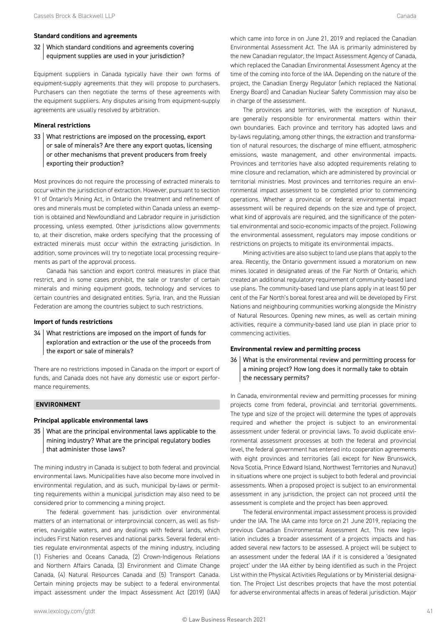#### **Standard conditions and agreements**

#### 32 Which standard conditions and agreements covering equipment supplies are used in your jurisdiction?

Equipment suppliers in Canada typically have their own forms of equipment-supply agreements that they will propose to purchasers. Purchasers can then negotiate the terms of these agreements with the equipment suppliers. Any disputes arising from equipment-supply agreements are usually resolved by arbitration.

#### **Mineral restrictions**

33 What restrictions are imposed on the processing, export or sale of minerals? Are there any export quotas, licensing or other mechanisms that prevent producers from freely exporting their production?

Most provinces do not require the processing of extracted minerals to occur within the jurisdiction of extraction. However, pursuant to section 91 of Ontario's Mining Act, in Ontario the treatment and refinement of ores and minerals must be completed within Canada unless an exemption is obtained and Newfoundland and Labrador require in jurisdiction processing, unless exempted. Other jurisdictions allow governments to, at their discretion, make orders specifying that the processing of extracted minerals must occur within the extracting jurisdiction. In addition, some provinces will try to negotiate local processing requirements as part of the approval process.

Canada has sanction and export control measures in place that restrict, and in some cases prohibit, the sale or transfer of certain minerals and mining equipment goods, technology and services to certain countries and designated entities. Syria, Iran, and the Russian Federation are among the countries subject to such restrictions.

#### **Import of funds restrictions**

34 What restrictions are imposed on the import of funds for exploration and extraction or the use of the proceeds from the export or sale of minerals?

There are no restrictions imposed in Canada on the import or export of funds, and Canada does not have any domestic use or export performance requirements.

#### **ENVIRONMENT**

#### **Principal applicable environmental laws**

35 What are the principal environmental laws applicable to the mining industry? What are the principal regulatory bodies that administer those laws?

The mining industry in Canada is subject to both federal and provincial environmental laws. Municipalities have also become more involved in environmental regulation, and as such, municipal by-laws or permitting requirements within a municipal jurisdiction may also need to be considered prior to commencing a mining project.

The federal government has jurisdiction over environmental matters of an international or interprovincial concern, as well as fisheries, navigable waters, and any dealings with federal lands, which includes First Nation reserves and national parks. Several federal entities regulate environmental aspects of the mining industry, including (1) Fisheries and Oceans Canada, (2) Crown-Indigenous Relations and Northern Affairs Canada, (3) Environment and Climate Change Canada, (4) Natural Resources Canada and (5) Transport Canada. Certain mining projects may be subject to a federal environmental impact assessment under the Impact Assessment Act (2019) (IAA)

The provinces and territories, with the exception of Nunavut, are generally responsible for environmental matters within their own boundaries. Each province and territory has adopted laws and by-laws regulating, among other things, the extraction and transformation of natural resources, the discharge of mine effluent, atmospheric emissions, waste management, and other environmental impacts. Provinces and territories have also adopted requirements relating to mine closure and reclamation, which are administered by provincial or territorial ministries. Most provinces and territories require an environmental impact assessment to be completed prior to commencing operations. Whether a provincial or federal environmental impact assessment will be required depends on the size and type of project, what kind of approvals are required, and the significance of the potential environmental and socio-economic impacts of the project. Following the environmental assessment, regulators may impose conditions or restrictions on projects to mitigate its environmental impacts.

Mining activities are also subject to land use plans that apply to the area. Recently, the Ontario government issued a moratorium on new mines located in designated areas of the Far North of Ontario, which created an additional regulatory requirement of community-based land use plans. The community-based land use plans apply in at least 50 per cent of the Far North's boreal forest area and will be developed by First Nations and neighbouring communities working alongside the Ministry of Natural Resources. Opening new mines, as well as certain mining activities, require a community-based land use plan in place prior to commencing activities.

#### **Environmental review and permitting process**

36 What is the environmental review and permitting process for a mining project? How long does it normally take to obtain the necessary permits?

In Canada, environmental review and permitting processes for mining projects come from federal, provincial and territorial governments. The type and size of the project will determine the types of approvals required and whether the project is subject to an environmental assessment under federal or provincial laws. To avoid duplicate environmental assessment processes at both the federal and provincial level, the federal government has entered into cooperation agreements with eight provinces and territories (all except for New Brunswick, Nova Scotia, Prince Edward Island, Northwest Territories and Nunavut) in situations where one project is subject to both federal and provincial assessments. When a proposed project is subject to an environmental assessment in any jurisdiction, the project can not proceed until the assessment is complete and the project has been approved.

The federal environmental impact assessment process is provided under the IAA. The IAA came into force on 21 June 2019, replacing the previous Canadian Environmental Assessment Act. This new legislation includes a broader assessment of a projects impacts and has added several new factors to be assessed. A project will be subject to an assessment under the federal IAA if it is considered a 'designated project' under the IAA either by being identified as such in the Project List within the Physical Activities Regulations or by Ministerial designation. The Project List describes projects that have the most potential for adverse environmental affects in areas of federal jurisdiction. Major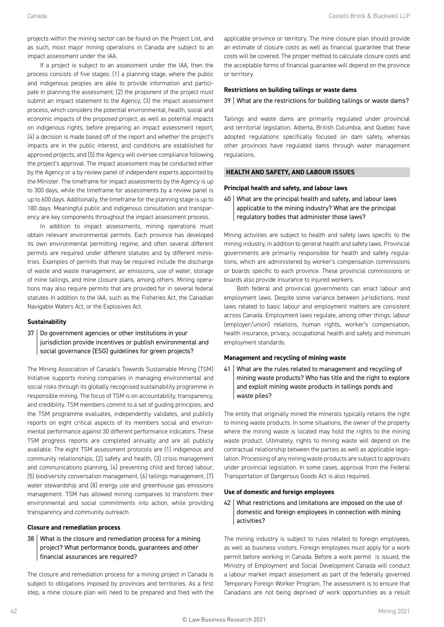projects within the mining sector can be found on the Project List, and as such, most major mining operations in Canada are subject to an impact assessment under the IAA.

If a project is subject to an assessment under the IAA, then the process consists of five stages: (1) a planning stage, where the public and indigenous peoples are able to provide information and participate in planning the assessment; (2) the proponent of the project must submit an impact statement to the Agency; (3) the impact assessment process, which considers the potential environmental, health, social and economic impacts of the proposed project, as well as potential impacts on indigenous rights, before preparing an impact assessment report; (4) a decision is made based off of the report and whether the project's impacts are in the public interest, and conditions are established for approved projects; and (5) the Agency will oversee compliance following the project's approval. The impact assessment may be conducted either by the Agency or a by review panel of independent experts appointed by the Minister. The timeframe for impact assessments by the Agency is up to 300 days, while the timeframe for assessments by a review panel is up to 600 days. Additionally, the timeframe for the planning stage is up to 180 days. Meaningful public and indigenous consultation and transparency are key components throughout the impact assessment process.

In addition to impact assessments, mining operations must obtain relevant environmental permits. Each province has developed its own environmental permitting regime, and often several different permits are required under different statutes and by different ministries. Examples of permits that may be required include the discharge of waste and waste management, air emissions, use of water, storage of mine tailings, and mine closure plans, among others. Mining operations may also require permits that are provided for in several federal statutes in addition to the IAA, such as the Fisheries Act, the Canadian Navigable Waters Act, or the Explosives Act.

#### **Sustainability**

37 Do government agencies or other institutions in your jurisdiction provide incentives or publish environmental and social governance (ESG) guidelines for green projects?

The Mining Association of Canada's Towards Sustainable Mining (TSM) Initiative supports mining companies in managing environmental and social risks through its globally recognised sustainability programme in responsible mining. The focus of TSM is on accountability, transparency, and credibility. TSM members commit to a set of guiding principles, and the TSM programme evaluates, independently validates, and publicly reports on eight critical aspects of its members social and environmental performance against 30 different performance indicators. These TSM progress reports are completed annually and are all publicly available. The eight TSM assessment protocols are (1) indigenous and community relationships, (2) safety and health, (3) crisis management and communications planning, (4) preventing child and forced labour, (5) biodiversity conversation management, (6) tailings management, (7) water stewardship and (8) energy use and greenhouse gas emissions management. TSM has allowed mining companies to transform their environmental and social commitments into action, while providing transparency and community outreach.

#### **Closure and remediation process**

38 What is the closure and remediation process for a mining project? What performance bonds, guarantees and other financial assurances are required?

The closure and remediation process for a mining project in Canada is subject to obligations imposed by provinces and territories. As a first step, a mine closure plan will need to be prepared and filed with the

applicable province or territory. The mine closure plan should provide an estimate of closure costs as well as financial guarantee that these costs will be covered. The proper method to calculate closure costs and the acceptable forms of financial guarantee will depend on the province or territory.

#### **Restrictions on building tailings or waste dams**

#### 39 What are the restrictions for building tailings or waste dams?

Tailings and waste dams are primarily regulated under provincial and territorial legislation. Alberta, British Columbia, and Quebec have adopted regulations specifically focused on dam safety, whereas other provinces have regulated dams through water management regulations.

#### **HEALTH AND SAFETY, AND LABOUR ISSUES**

#### **Principal health and safety, and labour laws**

40 What are the principal health and safety, and labour laws applicable to the mining industry? What are the principal regulatory bodies that administer those laws?

Mining activities are subject to health and safety laws specific to the mining industry, in addition to general health and safety laws. Provincial governments are primarily responsible for health and safety regulations, which are administered by worker's compensation commissions or boards specific to each province. These provincial commissions or boards also provide insurance to injured workers.

Both federal and provincial governments can enact labour and employment laws. Despite some variance between jurisdictions, most laws related to basic labour and employment matters are consistent across Canada. Employment laws regulate, among other things: labour (employer/union) relations, human rights, worker's compensation, health insurance, privacy, occupational health and safety and minimum employment standards.

#### **Management and recycling of mining waste**

41 What are the rules related to management and recycling of mining waste products? Who has title and the right to explore and exploit mining waste products in tailings ponds and waste piles?

The entity that originally mined the minerals typically retains the right to mining waste products. In some situations, the owner of the property where the mining waste is located may hold the rights to the mining waste product. Ultimately, rights to mining waste will depend on the contractual relationship between the parties as well as applicable legislation. Processing of any mining waste products are subject to approvals under provincial legislation. In some cases, approval from the Federal Transportation of Dangerous Goods Act is also required.

#### **Use of domestic and foreign employees**

42 What restrictions and limitations are imposed on the use of domestic and foreign employees in connection with mining activities?

The mining industry is subject to rules related to foreign employees, as well as business visitors. Foreign employees must apply for a work permit before working in Canada. Before a work permit is issued, the Ministry of Employment and Social Development Canada will conduct a labour market impact assessment as part of the federally governed Temporary Foreign Worker Program. The assessment is to ensure that Canadians are not being deprived of work opportunities as a result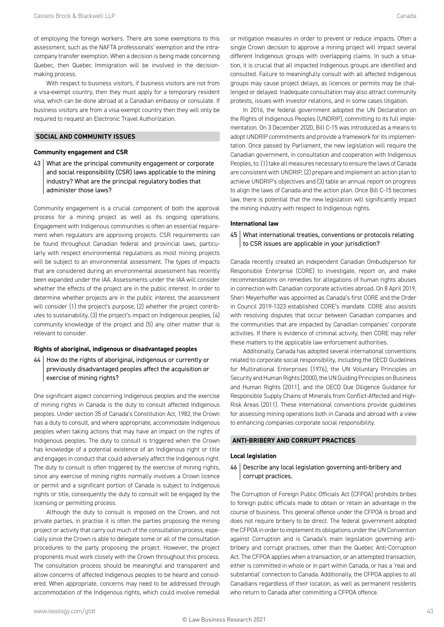of employing the foreign workers. There are some exemptions to this assessment, such as the NAFTA professionals' exemption and the intracompany transfer exemption. When a decision is being made concerning Quebec, then Quebec Immigration will be involved in the decisionmaking process.

With respect to business visitors, if business visitors are not from a visa-exempt country, then they must apply for a temporary resident visa, which can be done abroad at a Canadian embassy or consulate. If business visitors are from a visa-exempt country then they will only be required to request an Electronic Travel Authorization.

#### **SOCIAL AND COMMUNITY ISSUES**

#### **Community engagement and CSR**

43 What are the principal community engagement or corporate and social responsibility (CSR) laws applicable to the mining industry? What are the principal regulatory bodies that administer those laws?

Community engagement is a crucial component of both the approval process for a mining project as well as its ongoing operations. Engagement with Indigenous communities is often an essential requirement when regulators are approving projects. CSR requirements can be found throughout Canadian federal and provincial laws, particularly with respect environmental regulations as most mining projects will be subject to an environmental assessment. The types of impacts that are considered during an environmental assessment has recently been expanded under the IAA. Assessments under the IAA will consider whether the effects of the project are in the public interest. In order to determine whether projects are in the public interest, the assessment will consider (1) the project's purpose, (2) whether the project contributes to sustainability, (3) the project's impact on Indigenous peoples, (4) community knowledge of the project and (5) any other matter that is relevant to consider.

#### **Rights of aboriginal, indigenous or disadvantaged peoples**

44 | How do the rights of aboriginal, indigenous or currently or previously disadvantaged peoples affect the acquisition or exercise of mining rights?

One significant aspect concerning Indigenous peoples and the exercise of mining rights in Canada is the duty to consult affected Indigenous peoples. Under section 35 of Canada's Constitution Act, 1982, the Crown has a duty to consult, and where appropriate, accommodate Indigenous peoples when taking actions that may have an impact on the rights of Indigenous peoples. The duty to consult is triggered when the Crown has knowledge of a potential existence of an Indigenous right or title and engages in conduct that could adversely affect the Indigenous right. The duty to consult is often triggered by the exercise of mining rights, since any exercise of mining rights normally involves a Crown licence or permit and a significant portion of Canada is subject to Indigenous rights or title, consequently the duty to consult will be engaged by the licensing or permitting process.

Although the duty to consult is imposed on the Crown, and not private parties, in practise it is often the parties proposing the mining project or activity that carry out much of the consultation process, especially since the Crown is able to delegate some or all of the consultation procedures to the party proposing the project. However, the project proponents must work closely with the Crown throughout this process. The consultation process should be meaningful and transparent and allow concerns of affected Indigenous peoples to be heard and considered. When appropriate, concerns may need to be addressed through accommodation of the Indigenous rights, which could involve remedial or mitigation measures in order to prevent or reduce impacts. Often a single Crown decision to approve a mining project will impact several different Indigenous groups with overlapping claims. In such a situation, it is crucial that all impacted Indigenous groups are identified and consulted. Failure to meaningfully consult with all affected Indigenous groups may cause project delays, as licences or permits may be challenged or delayed. Inadequate consultation may also attract community protests, issues with investor relations, and in some cases litigation.

In 2016, the federal government adopted the UN Declaration on the Rights of Indigenous Peoples (UNDRIP), committing to its full implementation. On 3 December 2020, Bill C-15 was introduced as a means to adopt UNDRIP commitments and provide a framework for its implementation. Once passed by Parliament, the new legislation will require the Canadian government, in consultation and cooperation with Indigenous Peoples, to: (1) take all measures necessary to ensure the laws of Canada are consistent with UNDRIP, (2) prepare and implement an action plan to achieve UNDRIP's objectives and (3) table an annual report on progress to align the laws of Canada and the action plan. Once Bill C-15 becomes law, there is potential that the new legislation will significantly impact the mining industry with respect to Indigenous rights.

#### **International law**

45 | What international treaties, conventions or protocols relating to CSR issues are applicable in your jurisdiction?

Canada recently created an independent Canadian Ombudsperson for Responsible Enterprise (CORE) to investigate, report on, and make recommendations on remedies for allegations of human rights abuses in connection with Canadian corporate activities abroad. On 8 April 2019, Sheri Meyerhoffer was appointed as Canada's first CORE and the Order in Council 2019-1323 established CORE's mandate. CORE also assists with resolving disputes that occur between Canadian companies and the communities that are impacted by Canadian companies' corporate activities. If there is evidence of criminal activity, then CORE may refer these matters to the applicable law enforcement authorities.

Additionally, Canada has adopted several international conventions related to corporate social responsibility, including the OECD Guidelines for Multinational Enterprises (1976), the UN Voluntary Principles on Security and Human Rights (2000), the UN Guiding Principles on Business and Human Rights (2011), and the OECD Due Diligence Guidance for Responsible Supply Chains of Minerals from Conflict-Affected and High-Risk Areas (2011). These international conventions provide guidelines for assessing mining operations both in Canada and abroad with a view to enhancing companies corporate social responsibility.

#### **ANTI-BRIBERY AND CORRUPT PRACTICES**

#### **Local legislation**

46 Describe any local legislation governing anti-bribery and corrupt practices.

The Corruption of Foreign Public Officials Act (CFPOA) prohibits bribes to foreign public officials made to obtain or retain an advantage in the course of business. This general offence under the CFPOA is broad and does not require bribery to be direct. The federal government adopted the CFPOA in order to implement its obligations under the UN Convention against Corruption and is Canada's main legislation governing antibribery and corrupt practises, other than the Quebec Anti-Corruption Act. The CFPOA applies when a transaction, or an attempted transaction, either is committed in whole or in part within Canada, or has a 'real and substantial' connection to Canada. Additionally, the CFPOA applies to all Canadians regardless of their location, as well as permanent residents who return to Canada after committing a CFPOA offence.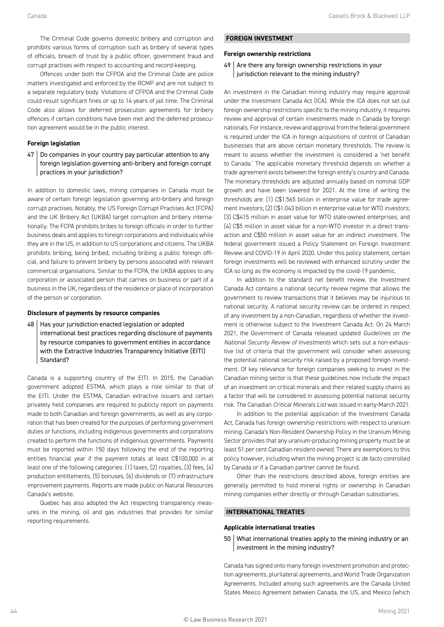The Criminal Code governs domestic bribery and corruption and prohibits various forms of corruption such as bribery of several types of officials, breach of trust by a public officer, government fraud and corrupt practises with respect to accounting and record-keeping.

Offences under both the CFPOA and the Criminal Code are police matters investigated and enforced by the RCMP and are not subject to a separate regulatory body. Violations of CFPOA and the Criminal Code could result significant fines or up to 14 years of jail time. The Criminal Code also allows for deferred prosecution agreements for bribery offences if certain conditions have been met and the deferred prosecution agreement would be in the public interest.

#### **Foreign legislation**

 $47$  Do companies in your country pay particular attention to any foreign legislation governing anti-bribery and foreign corrupt practices in your jurisdiction?

In addition to domestic laws, mining companies in Canada must be aware of certain foreign legislation governing anti-bribery and foreign corrupt practises. Notably, the US Foreign Corrupt Practises Act (FCPA) and the UK Bribery Act (UKBA) target corruption and bribery internationally. The FCPA prohibits bribes to foreign officials in order to further business deals and applies to foreign corporations and individuals while they are in the US, in addition to US corporations and citizens. The UKBA prohibits bribing, being bribed, including bribing a public foreign official, and failure to prevent bribery by persons associated with relevant commercial organisations. Similar to the FCPA, the UKBA applies to any corporation or associated person that carries on business or part of a business in the UK, regardless of the residence or place of incorporation of the person or corporation.

#### **Disclosure of payments by resource companies**

48 Has your jurisdiction enacted legislation or adopted international best practices regarding disclosure of payments by resource companies to government entities in accordance with the Extractive Industries Transparency Initiative (EITI) Standard?

Canada is a supporting country of the EITI. In 2015, the Canadian government adopted ESTMA, which plays a role similar to that of the EITI. Under the ESTMA, Canadian extractive issuers and certain privately held companies are required to publicly report on payments made to both Canadian and foreign governments, as well as any corporation that has been created for the purposes of performing government duties or functions, including indigenous governments and corporations created to perform the functions of indigenous governments. Payments must be reported within 150 days following the end of the reporting entities financial year if the payment totals at least C\$100,000 in at least one of the following categories: (1) taxes, (2) royalties, (3) fees, (4) production entitlements, (5) bonuses, (6) dividends or (7) infrastructure improvement payments. Reports are made public on Natural Resources Canada's website.

Quebec has also adopted the Act respecting transparency measures in the mining, oil and gas industries that provides for similar reporting requirements.

#### **FOREIGN INVESTMENT**

#### **Foreign ownership restrictions**

#### $49$  Are there any foreign ownership restrictions in your jurisdiction relevant to the mining industry?

An investment in the Canadian mining industry may require approval under the Investment Canada Act (ICA). While the ICA does not set out foreign ownership restrictions specific to the mining industry, it requires review and approval of certain investments made in Canada by foreign nationals. For instance, review and approval from the federal government is required under the ICA in foreign acquisitions of control of Canadian businesses that are above certain monetary thresholds. The review is meant to assess whether the investment is considered a 'net benefit to Canada.' The applicable monetary threshold depends on whether a trade agreement exists between the foreign entity's country and Canada. The monetary thresholds are adjusted annually based on nominal GDP growth and have been lowered for 2021. At the time of writing the thresholds are: (1) C\$1.565 billion in enterprise value for trade agreement investors; (2) C\$1.043 billion in enterprise value for WTO investors; (3) C\$415 million in asset value for WTO state-owned enterprises; and (4) C\$5 million in asset value for a non-WTO investor in a direct transaction and C\$50 million in asset value for an indirect investment. The federal government issued a Policy Statement on Foreign Investment Review and COVID-19 in April 2020. Under this policy statement, certain foreign investments will be reviewed with enhanced scrutiny under the ICA so long as the economy is impacted by the covid-19 pandemic.

In addition to the standard net benefit review, the Investment Canada Act contains a national security review regime that allows the government to review transactions that it believes may be injurious to national security. A national security review can be ordered in respect of any investment by a non-Canadian, regardless of whether the investment is otherwise subject to the Investment Canada Act. On 24 March 2021, the Government of Canada released updated *Guidelines on the National Security Review of Investments* which sets out a non-exhaustive list of criteria that the government will consider when assessing the potential national security risk raised by a proposed foreign investment. Of key relevance for foreign companies seeking to invest in the Canadian mining sector is that these guidelines now include the impact of an investment on critical minerals and their related supply chains as a factor that will be considered in assessing potential national security risk. The Canadian *Critical Minerals List* was issued in early-March 2021.

In addition to the potential application of the Investment Canada Act, Canada has foreign ownership restrictions with respect to uranium mining. Canada's Non-Resident Ownership Policy in the Uranium Mining Sector provides that any uranium-producing mining property must be at least 51 per cent Canadian resident owned. There are exemptions to this policy however, including when the mining project is *de facto* controlled by Canada or if a Canadian partner cannot be found.

Other than the restrictions described above, foreign entities are generally permitted to hold mineral rights or ownership in Canadian mining companies either directly or through Canadian subsidiaries.

#### **INTERNATIONAL TREATIES**

#### **Applicable international treaties**

50 What international treaties apply to the mining industry or an investment in the mining industry?

Canada has signed onto many foreign investment promotion and protection agreements, plurilateral agreements, and World Trade Organization Agreements. Included among such agreements are the Canada United States Mexico Agreement between Canada, the US, and Mexico (which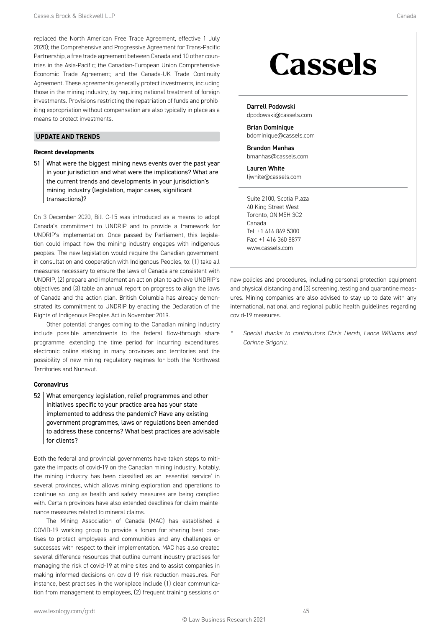<span id="page-15-0"></span>replaced the North American Free Trade Agreement, effective 1 July 2020); the Comprehensive and Progressive Agreement for Trans-Pacific Partnership, a free trade agreement between Canada and 10 other countries in the Asia-Pacific; the Canadian-European Union Comprehensive Economic Trade Agreement; and the Canada-UK Trade Continuity Agreement. These agreements generally protect investments, including those in the mining industry, by requiring national treatment of foreign investments. Provisions restricting the repatriation of funds and prohibiting expropriation without compensation are also typically in place as a means to protect investments.

#### **UPDATE AND TRENDS**

#### **Recent developments**

51 What were the biggest mining news events over the past year in your jurisdiction and what were the implications? What are the current trends and developments in your jurisdiction's mining industry (legislation, major cases, significant transactions)?

On 3 December 2020, Bill C-15 was introduced as a means to adopt Canada's commitment to UNDRIP and to provide a framework for UNDRIP's implementation. Once passed by Parliament, this legislation could impact how the mining industry engages with indigenous peoples. The new legislation would require the Canadian government, in consultation and cooperation with Indigenous Peoples, to: (1) take all measures necessary to ensure the laws of Canada are consistent with UNDRIP, (2) prepare and implement an action plan to achieve UNDRIP's objectives and (3) table an annual report on progress to align the laws of Canada and the action plan. British Columbia has already demonstrated its commitment to UNDRIP by enacting the Declaration of the Rights of Indigenous Peoples Act in November 2019.

Other potential changes coming to the Canadian mining industry include possible amendments to the federal flow-through share programme, extending the time period for incurring expenditures, electronic online staking in many provinces and territories and the possibility of new mining regulatory regimes for both the Northwest Territories and Nunavut.

#### **Coronavirus**

52 What emergency legislation, relief programmes and other initiatives specific to your practice area has your state implemented to address the pandemic? Have any existing government programmes, laws or regulations been amended to address these concerns? What best practices are advisable for clients?

Both the federal and provincial governments have taken steps to mitigate the impacts of covid-19 on the Canadian mining industry. Notably, the mining industry has been classified as an 'essential service' in several provinces, which allows mining exploration and operations to continue so long as health and safety measures are being complied with. Certain provinces have also extended deadlines for claim maintenance measures related to mineral claims.

The Mining Association of Canada (MAC) has established a COVID-19 working group to provide a forum for sharing best practises to protect employees and communities and any challenges or successes with respect to their implementation. MAC has also created several difference resources that outline current industry practises for managing the risk of covid-19 at mine sites and to assist companies in making informed decisions on covid-19 risk reduction measures. For instance, best practises in the workplace include (1) clear communication from management to employees, (2) frequent training sessions on

### **Cassels**

Darrell Podowski [dpodowski@cassels.com](mailto:dpodowski@cassels.com)

Brian Dominique [bdominique@cassels.com](mailto:bdominique@cassels.com)

Brandon Manhas [bmanhas@cassels.com](mailto:bmanhas@cassels.com)

Lauren White [ljwhite@cassels.com](mailto:ljwhite@cassels.com)

Suite 2100, Scotia Plaza 40 King Street West Toronto, ON,M5H 3C2 Canada Tel: +1 416 869 5300 Fax: +1 416 360 8877 [www.cassels.com](http://www.cassels.com)

new policies and procedures, including personal protection equipment and physical distancing and (3) screening, testing and quarantine measures. Mining companies are also advised to stay up to date with any international, national and regional public health guidelines regarding covid-19 measures.

*[\\*](#page-5-0) Special thanks to contributors Chris Hersh, Lance Williams and Corinne Grigoriu.*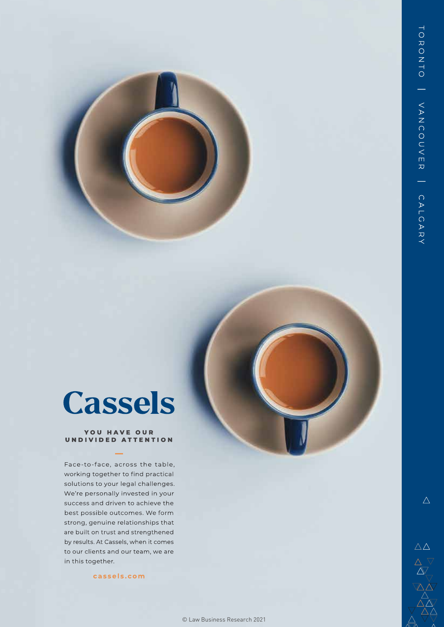### Cassels

#### YOU HAVE OUR UNDIVIDED ATTENTION

Face-to-face, across the table, working together to find practical solutions to your legal challenges. We're personally invested in your success and driven to achieve the best possible outcomes. We form strong, genuine relationships that are built on trust and strengthened by results. At Cassels, when it comes to our clients and our team, we are in this together.

[cassels.com](http://cassels.com)

 $\triangle$